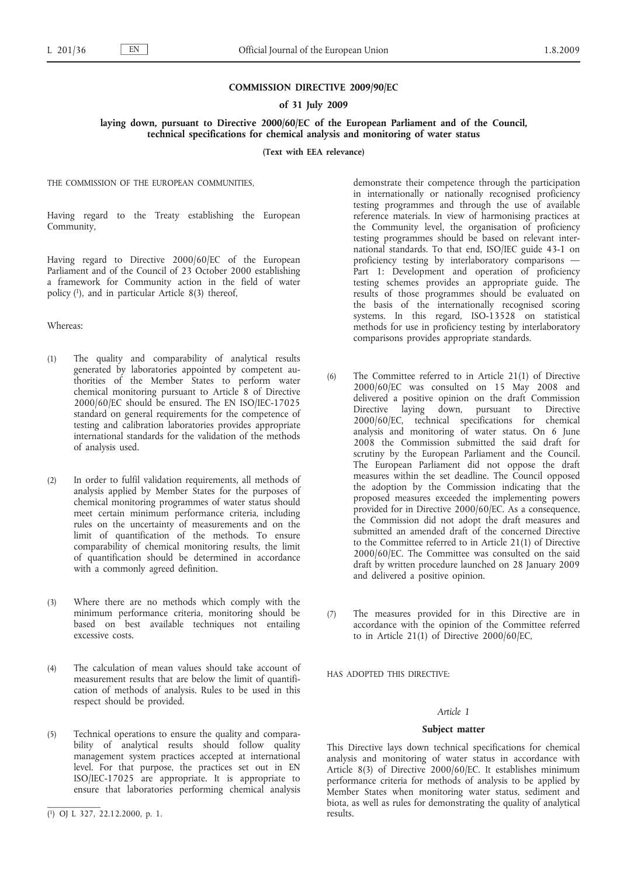## **COMMISSION DIRECTIVE 2009/90/EC**

### **of 31 July 2009**

### **laying down, pursuant to Directive 2000/60/EC of the European Parliament and of the Council, technical specifications for chemical analysis and monitoring of water status**

**(Text with EEA relevance)**

THE COMMISSION OF THE EUROPEAN COMMUNITIES,

Having regard to the Treaty establishing the European Community,

Having regard to Directive 2000/60/EC of the European Parliament and of the Council of 23 October 2000 establishing a framework for Community action in the field of water policy (1), and in particular Article 8(3) thereof,

### Whereas:

- (1) The quality and comparability of analytical results generated by laboratories appointed by competent authorities of the Member States to perform water chemical monitoring pursuant to Article 8 of Directive 2000/60/EC should be ensured. The EN ISO/IEC-17025 standard on general requirements for the competence of testing and calibration laboratories provides appropriate international standards for the validation of the methods of analysis used.
- (2) In order to fulfil validation requirements, all methods of analysis applied by Member States for the purposes of chemical monitoring programmes of water status should meet certain minimum performance criteria, including rules on the uncertainty of measurements and on the limit of quantification of the methods. To ensure comparability of chemical monitoring results, the limit of quantification should be determined in accordance with a commonly agreed definition.
- (3) Where there are no methods which comply with the minimum performance criteria, monitoring should be based on best available techniques not entailing excessive costs.
- (4) The calculation of mean values should take account of measurement results that are below the limit of quantification of methods of analysis. Rules to be used in this respect should be provided.
- (5) Technical operations to ensure the quality and comparability of analytical results should follow quality management system practices accepted at international level. For that purpose, the practices set out in EN ISO/IEC-17025 are appropriate. It is appropriate to ensure that laboratories performing chemical analysis

demonstrate their competence through the participation in internationally or nationally recognised proficiency testing programmes and through the use of available reference materials. In view of harmonising practices at the Community level, the organisation of proficiency testing programmes should be based on relevant international standards. To that end, ISO/IEC guide 43-1 on proficiency testing by interlaboratory comparisons — Part 1: Development and operation of proficiency testing schemes provides an appropriate guide. The results of those programmes should be evaluated on the basis of the internationally recognised scoring systems. In this regard, ISO-13528 on statistical methods for use in proficiency testing by interlaboratory comparisons provides appropriate standards.

- (6) The Committee referred to in Article 21(1) of Directive 2000/60/EC was consulted on 15 May 2008 and delivered a positive opinion on the draft Commission Directive laying down, pursuant to Directive 2000/60/EC, technical specifications for chemical analysis and monitoring of water status. On 6 June 2008 the Commission submitted the said draft for scrutiny by the European Parliament and the Council. The European Parliament did not oppose the draft measures within the set deadline. The Council opposed the adoption by the Commission indicating that the proposed measures exceeded the implementing powers provided for in Directive 2000/60/EC. As a consequence, the Commission did not adopt the draft measures and submitted an amended draft of the concerned Directive to the Committee referred to in Article 21(1) of Directive 2000/60/EC. The Committee was consulted on the said draft by written procedure launched on 28 January 2009 and delivered a positive opinion.
- (7) The measures provided for in this Directive are in accordance with the opinion of the Committee referred to in Article 21(1) of Directive 2000/60/EC,

HAS ADOPTED THIS DIRECTIVE:

### *Article 1*

#### **Subject matter**

This Directive lays down technical specifications for chemical analysis and monitoring of water status in accordance with Article 8(3) of Directive 2000/60/EC. It establishes minimum performance criteria for methods of analysis to be applied by Member States when monitoring water status, sediment and biota, as well as rules for demonstrating the quality of analytical results.

<sup>(</sup> 1) OJ L 327, 22.12.2000, p. 1.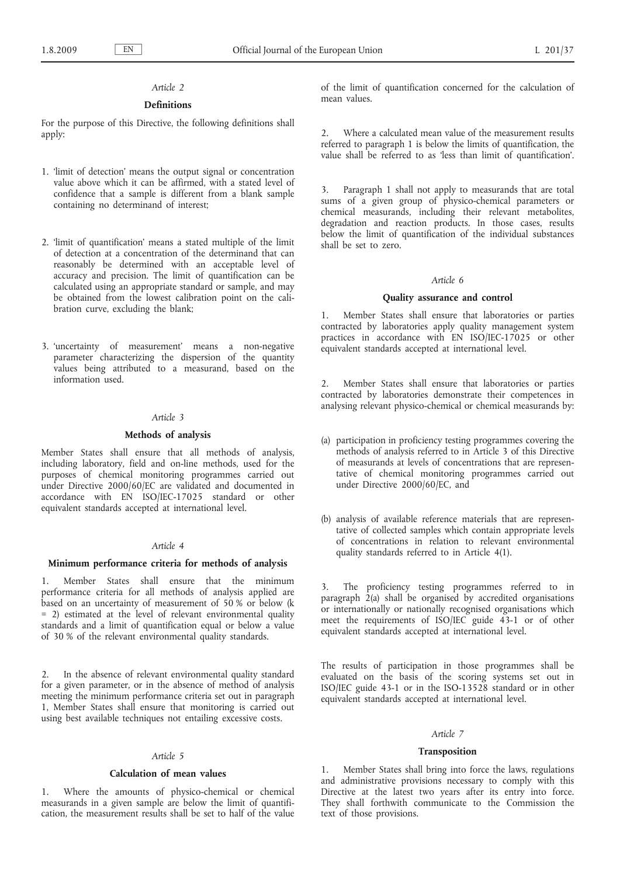# *Article 2*

### **Definitions**

For the purpose of this Directive, the following definitions shall apply:

- 1. 'limit of detection' means the output signal or concentration value above which it can be affirmed, with a stated level of confidence that a sample is different from a blank sample containing no determinand of interest;
- 2. 'limit of quantification' means a stated multiple of the limit of detection at a concentration of the determinand that can reasonably be determined with an acceptable level of accuracy and precision. The limit of quantification can be calculated using an appropriate standard or sample, and may be obtained from the lowest calibration point on the calibration curve, excluding the blank;
- 3. 'uncertainty of measurement' means a non-negative parameter characterizing the dispersion of the quantity values being attributed to a measurand, based on the information used.

#### *Article 3*

### **Methods of analysis**

Member States shall ensure that all methods of analysis, including laboratory, field and on-line methods, used for the purposes of chemical monitoring programmes carried out under Directive 2000/60/EC are validated and documented in accordance with EN ISO/IEC-17025 standard or other equivalent standards accepted at international level.

## *Article 4*

### **Minimum performance criteria for methods of analysis**

1. Member States shall ensure that the minimum performance criteria for all methods of analysis applied are based on an uncertainty of measurement of 50 % or below (k = 2) estimated at the level of relevant environmental quality standards and a limit of quantification equal or below a value of 30 % of the relevant environmental quality standards.

2. In the absence of relevant environmental quality standard for a given parameter, or in the absence of method of analysis meeting the minimum performance criteria set out in paragraph 1, Member States shall ensure that monitoring is carried out using best available techniques not entailing excessive costs.

### *Article 5*

#### **Calculation of mean values**

1. Where the amounts of physico-chemical or chemical measurands in a given sample are below the limit of quantification, the measurement results shall be set to half of the value of the limit of quantification concerned for the calculation of mean values.

2. Where a calculated mean value of the measurement results referred to paragraph 1 is below the limits of quantification, the value shall be referred to as less than limit of quantification'.

3. Paragraph 1 shall not apply to measurands that are total sums of a given group of physico-chemical parameters or chemical measurands, including their relevant metabolites, degradation and reaction products. In those cases, results below the limit of quantification of the individual substances shall be set to zero.

#### *Article 6*

#### **Quality assurance and control**

1. Member States shall ensure that laboratories or parties contracted by laboratories apply quality management system practices in accordance with EN ISO/IEC-17025 or other equivalent standards accepted at international level.

2. Member States shall ensure that laboratories or parties contracted by laboratories demonstrate their competences in analysing relevant physico-chemical or chemical measurands by:

- (a) participation in proficiency testing programmes covering the methods of analysis referred to in Article 3 of this Directive of measurands at levels of concentrations that are representative of chemical monitoring programmes carried out under Directive 2000/60/EC, and
- (b) analysis of available reference materials that are representative of collected samples which contain appropriate levels of concentrations in relation to relevant environmental quality standards referred to in Article 4(1).

3. The proficiency testing programmes referred to in paragraph  $2(a)$  shall be organised by accredited organisations or internationally or nationally recognised organisations which meet the requirements of ISO/IEC guide 43-1 or of other equivalent standards accepted at international level.

The results of participation in those programmes shall be evaluated on the basis of the scoring systems set out in ISO/IEC guide 43-1 or in the ISO-13528 standard or in other equivalent standards accepted at international level.

### *Article 7*

### **Transposition**

1. Member States shall bring into force the laws, regulations and administrative provisions necessary to comply with this Directive at the latest two years after its entry into force. They shall forthwith communicate to the Commission the text of those provisions.